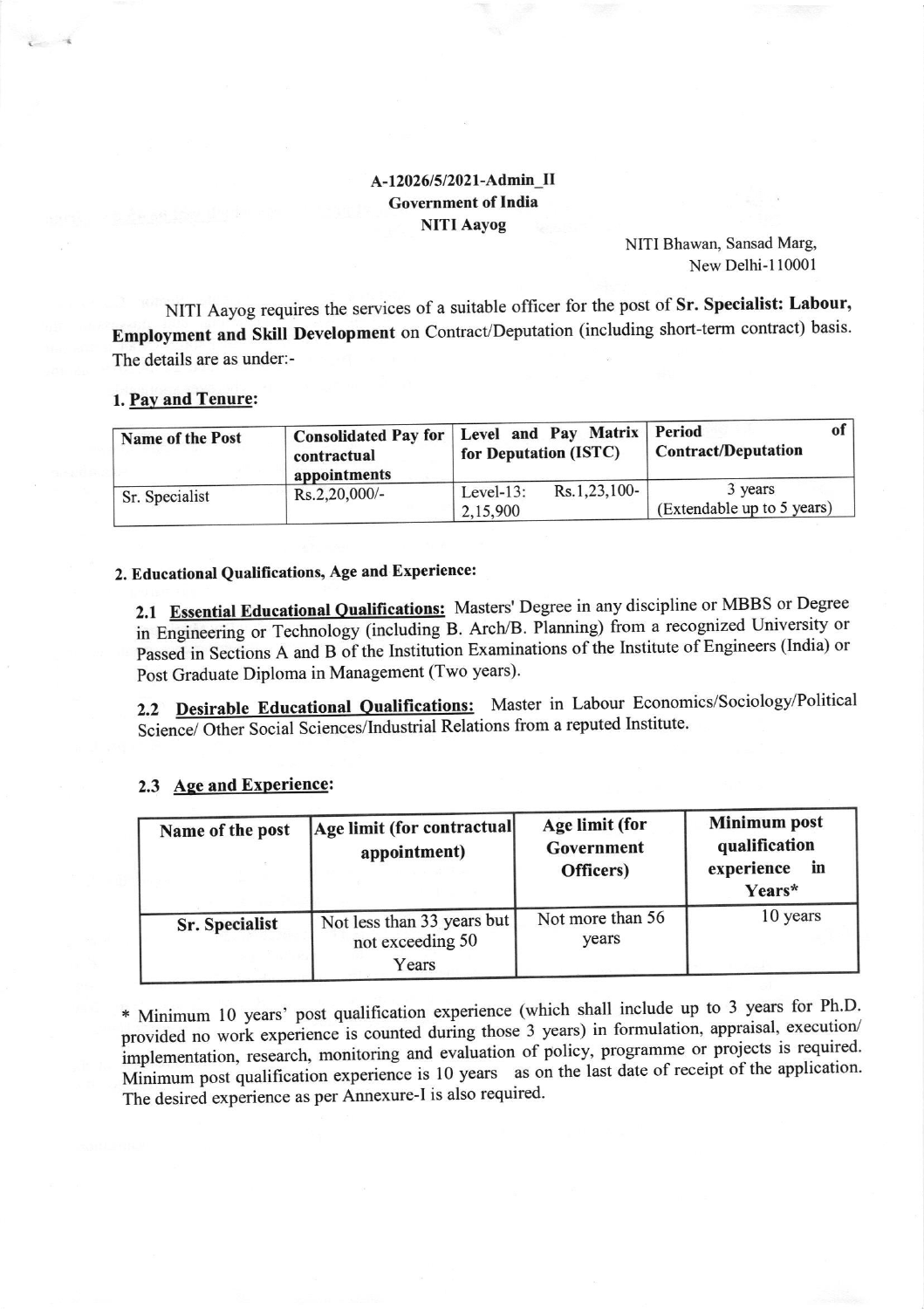## A-12026/5/2021-Admin\_II **Government of India NITI Aayog**

NITI Bhawan, Sansad Marg, New Delhi-110001

NITI Aayog requires the services of a suitable officer for the post of Sr. Specialist: Labour, Employment and Skill Development on Contract/Deputation (including short-term contract) basis. The details are as under:-

#### 1. Pay and Tenure:

| <b>Name of the Post</b> | contractual<br>appointments | Consolidated Pay for   Level and Pay Matrix   Period<br>for Deputation (ISTC) | <b>Contract/Deputation</b>            |
|-------------------------|-----------------------------|-------------------------------------------------------------------------------|---------------------------------------|
| Sr. Specialist          | Rs.2,20,000/-               | Rs.1,23,100-<br>Level- $13$ :<br>2,15,900                                     | 3 years<br>(Extendable up to 5 years) |

### 2. Educational Qualifications, Age and Experience:

2.1 Essential Educational Qualifications: Masters' Degree in any discipline or MBBS or Degree in Engineering or Technology (including B. Arch/B. Planning) from a recognized University or Passed in Sections A and B of the Institution Examinations of the Institute of Engineers (India) or Post Graduate Diploma in Management (Two years).

2.2 Desirable Educational Qualifications: Master in Labour Economics/Sociology/Political Science/ Other Social Sciences/Industrial Relations from a reputed Institute.

# 2.3 Age and Experience:

| Name of the post      | Age limit (for contractual<br>appointment)              | Age limit (for<br>Government<br>Officers) | <b>Minimum post</b><br>qualification<br>experience<br>in<br>Years* |
|-----------------------|---------------------------------------------------------|-------------------------------------------|--------------------------------------------------------------------|
| <b>Sr. Specialist</b> | Not less than 33 years but<br>not exceeding 50<br>Years | Not more than 56<br>years                 | 10 years                                                           |

\* Minimum 10 years' post qualification experience (which shall include up to 3 years for Ph.D. provided no work experience is counted during those 3 years) in formulation, appraisal, execution/ implementation, research, monitoring and evaluation of policy, programme or projects is required. Minimum post qualification experience is 10 years as on the last date of receipt of the application. The desired experience as per Annexure-I is also required.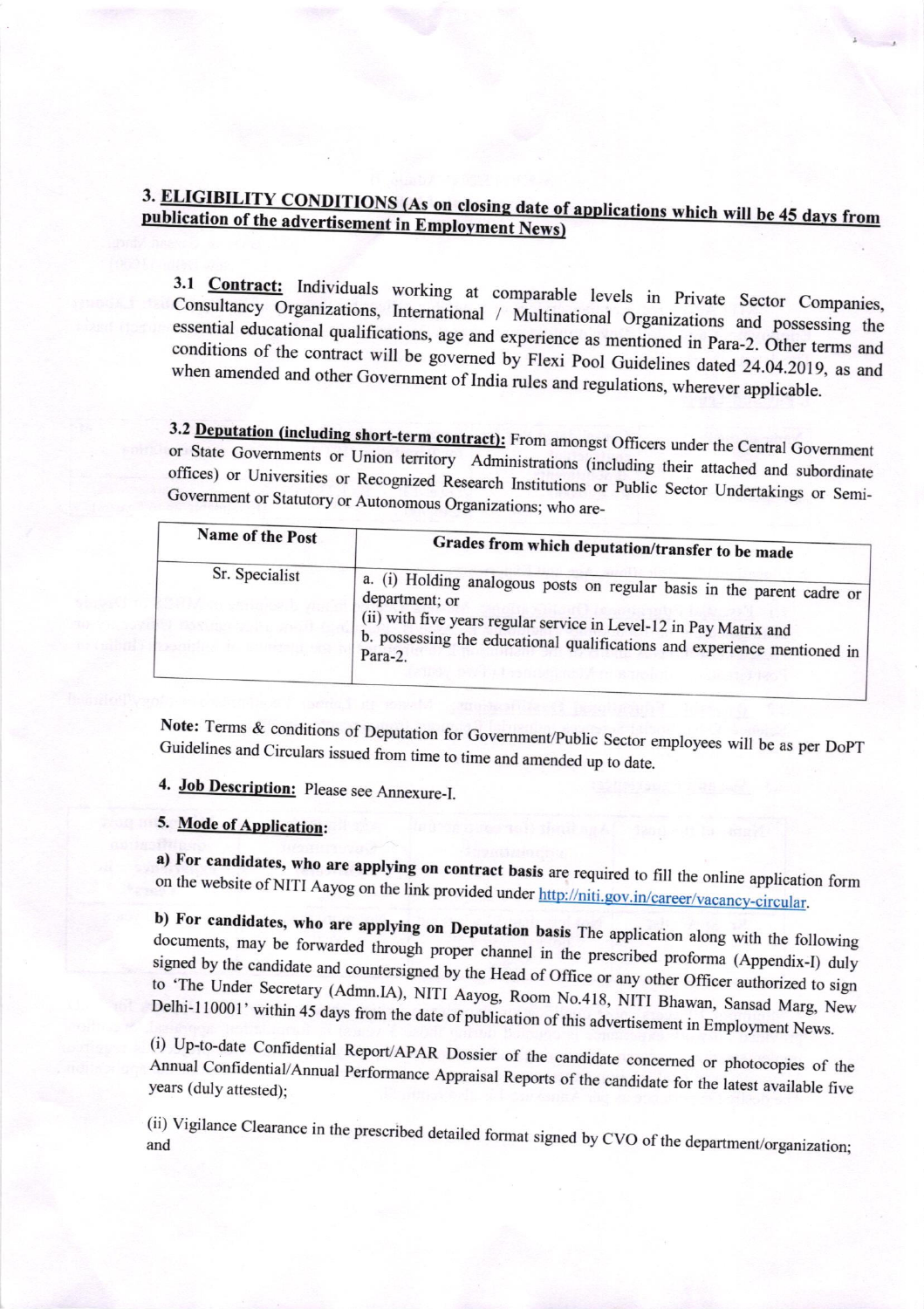# 3. ELIGIBILITY CONDITIONS (As on closing date of applications which will be 45 days from publication of the advertisement in Employment News)

3.1 **Contract:** Individuals working at comparable levels in Private Sector Companies, Consultancy Organizations, International / Multinational Organizations and possessing the essential educational qualifications, age and experience as mentioned in Para-2. Other terms and conditions of the contract will be governed by Flexi Pool Guidelines dated 24.04.2019, as and when amended and other Government of India rules and regulations, wherever applicable.

3.2 Deputation (including short-term contract): From amongst Officers under the Central Government or State Governments or Union territory Administrations (including their attached and subordinate offices) or Universities or Recognized Research Institutions or Public Sector Undertakings or Semi-Government or Statutory or Autonomous Organizations; who are-

| Name of the Post | Grades from which deputation/transfer to be made                                                                                                                                                                                                      |  |
|------------------|-------------------------------------------------------------------------------------------------------------------------------------------------------------------------------------------------------------------------------------------------------|--|
| Sr. Specialist   | a. (i) Holding analogous posts on regular basis in the parent cadre or<br>department; or<br>(ii) with five years regular service in Level-12 in Pay Matrix and<br>b. possessing the educational qualifications and experience mentioned in<br>Para-2. |  |

Note: Terms & conditions of Deputation for Government/Public Sector employees will be as per DoPT Guidelines and Circulars issued from time to time and amended up to date.

4. Job Description: Please see Annexure-I.

### 5. Mode of Application:

a) For candidates, who are applying on contract basis are required to fill the online application form on the website of NITI Aayog on the link provided under http://niti.gov.in/career/vacancy-circular.

b) For candidates, who are applying on Deputation basis The application along with the following documents, may be forwarded through proper channel in the prescribed proforma (Appendix-I) duly signed by the candidate and countersigned by the Head of Office or any other Officer authorized to sign to 'The Under Secretary (Admn.IA), NITI Aayog, Room No.418, NITI Bhawan, Sansad Marg, New Delhi-110001' within 45 days from the date of publication of this advertisement in Employment News.

(i) Up-to-date Confidential Report/APAR Dossier of the candidate concerned or photocopies of the Annual Confidential/Annual Performance Appraisal Reports of the candidate for the latest available five years (duly attested);

(ii) Vigilance Clearance in the prescribed detailed format signed by CVO of the department/organization;